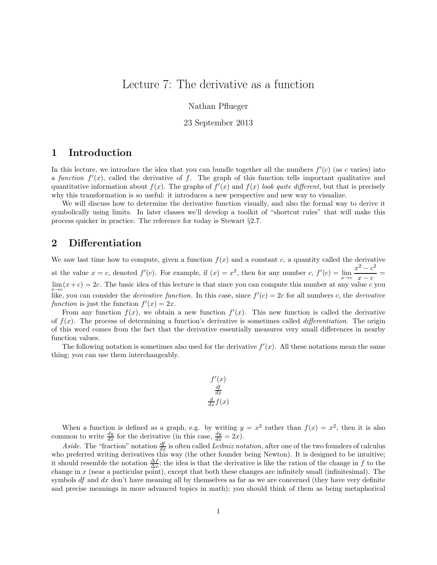# Lecture 7: The derivative as a function

Nathan Pflueger

#### 23 September 2013

### 1 Introduction

In this lecture, we introduce the idea that you can bundle together all the numbers  $f'(c)$  (as c varies) into a function  $f'(x)$ , called the derivative of f. The graph of this function tells important qualitative and quantitative information about  $f(x)$ . The graphs of  $f'(x)$  and  $f(x)$  look quite different, but that is precisely why this transformation is so useful: it introduces a new perspective and new way to visualize.

We will discuss how to determine the derivative function visually, and also the formal way to derive it symbolically using limits. In later classes we'll develop a toolkit of "shortcut rules" that will make this process quicker in practice. The reference for today is Stewart §2.7.

#### 2 Differentiation

We saw last time how to compute, given a function  $f(x)$  and a constant c, a quantity called the derivative at the value  $x = c$ , denoted  $f'(c)$ . For example, if  $(x) = x^2$ , then for any number c,  $f'(c) = \lim_{x \to c} \frac{x^2 - c^2}{x - c}$  $\frac{c}{x-c} =$  $\lim_{x \to c} (x + c) = 2c$ . The basic idea of this lecture is that since you can compute this number at any value c you like, you can consider the *derivative function*. In this case, since  $f'(c) = 2c$  for all numbers c, the *derivative* function is just the function  $f'(x) = 2x$ .

From any function  $f(x)$ , we obtain a new function  $f'(x)$ . This new function is called the derivative of  $f(x)$ . The process of determining a function's derivative is sometimes called *differentiation*. The origin of this word comes from the fact that the derivative essentially measures very small differences in nearby function values.

The following notation is sometimes also used for the derivative  $f'(x)$ . All these notations mean the same thing; you can use them interchangeably.

$$
\frac{f'(x)}{\frac{df}{dx}}
$$

$$
\frac{d}{dx}f(x)
$$

When a function is defined as a graph, e.g. by writing  $y = x^2$  rather than  $f(x) = x^2$ , then it is also common to write  $\frac{dy}{dx}$  for the derivative (in this case,  $\frac{dy}{dx} = 2x$ ).

Aside. The "fraction" notation  $\frac{df}{dx}$  is often called Leibniz notation, after one of the two founders of calculus who preferred writing derivatives this way (the other founder being Newton). It is designed to be intuitive; it should resemble the notation  $\frac{\Delta f}{\Delta x}$ ; the idea is that the derivative is like the ration of the change in f to the change in  $x$  (near a particular point), except that both these changes are infinitely small (infinitesimal). The symbols  $df$  and  $dx$  don't have meaning all by themselves as far as we are concerned (they have very definite and precise meanings in more advanced topics in math); you should think of them as being metaphorical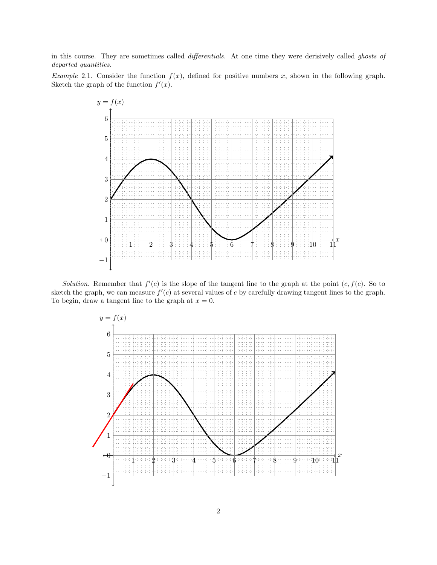in this course. They are sometimes called differentials. At one time they were derisively called ghosts of departed quantities.

Example 2.1. Consider the function  $f(x)$ , defined for positive numbers x, shown in the following graph. Sketch the graph of the function  $f'(x)$ .



Solution. Remember that  $f'(c)$  is the slope of the tangent line to the graph at the point  $(c, f(c))$ . So to sketch the graph, we can measure  $f'(c)$  at several values of c by carefully drawing tangent lines to the graph. To begin, draw a tangent line to the graph at  $x = 0$ .

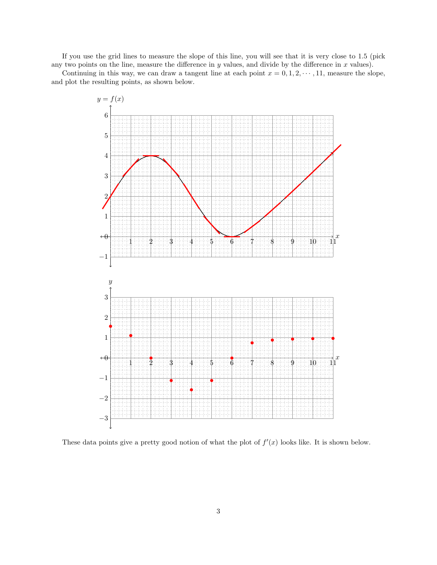If you use the grid lines to measure the slope of this line, you will see that it is very close to 1.5 (pick any two points on the line, measure the difference in  $y$  values, and divide by the difference in  $x$  values).

Continuing in this way, we can draw a tangent line at each point  $x = 0, 1, 2, \dots, 11$ , measure the slope, and plot the resulting points, as shown below.



These data points give a pretty good notion of what the plot of  $f'(x)$  looks like. It is shown below.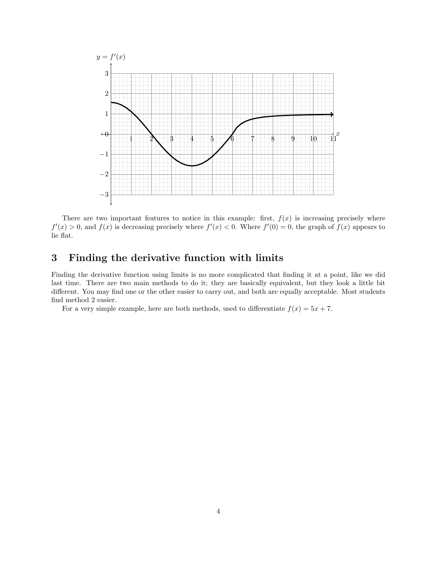

There are two important features to notice in this example: first,  $f(x)$  is increasing precisely where  $f'(x) > 0$ , and  $f(x)$  is decreasing precisely where  $f'(x) < 0$ . Where  $f'(0) = 0$ , the graph of  $f(x)$  appears to lie flat.

## 3 Finding the derivative function with limits

Finding the derivative function using limits is no more complicated that finding it at a point, like we did last time. There are two main methods to do it; they are basically equivalent, but they look a little bit different. You may find one or the other easier to carry out, and both are equally acceptable. Most students find method 2 easier.

For a very simple example, here are both methods, used to differentiate  $f(x) = 5x + 7$ .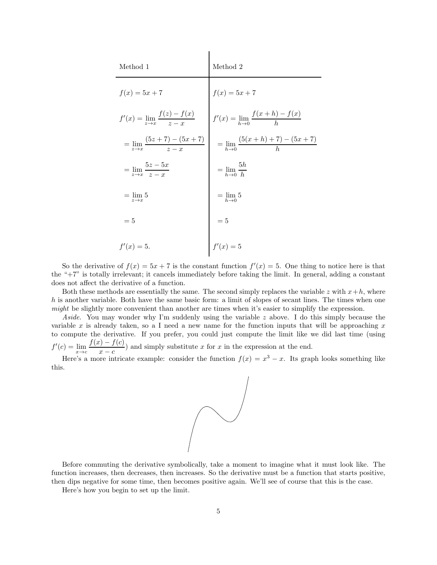| Method 1                                           | Method 2                                         |
|----------------------------------------------------|--------------------------------------------------|
| $f(x) = 5x + 7$                                    | $f(x) = 5x + 7$                                  |
| $f'(x) = \lim_{z \to x} \frac{f(z) - f(x)}{z - x}$ | $f'(x) = \lim_{h \to 0} \frac{f(x+h) - f(x)}{h}$ |
| $=\lim_{z\to x}\frac{(5z+7)-(5x+7)}{z-x}$          | $= \lim_{h\to 0} \frac{(5(x+h)+7)-(5x+7)}{h}$    |
| $= \lim_{z \to x} \frac{5z - 5x}{z - x}$           | $=\lim_{h\rightarrow 0}\frac{5h}{h}$             |
| $=$ $\lim 5$<br>$z\rightarrow x$                   | $=$ lim 5<br>$h\rightarrow 0$                    |
| $=5$                                               | $=5$                                             |
| $f'(x) = 5.$                                       | $f'(x) = 5$                                      |

So the derivative of  $f(x) = 5x + 7$  is the constant function  $f'(x) = 5$ . One thing to notice here is that the "+7" is totally irrelevant; it cancels immediately before taking the limit. In general, adding a constant does not affect the derivative of a function.

Both these methods are essentially the same. The second simply replaces the variable z with  $x+h$ , where h is another variable. Both have the same basic form: a limit of slopes of secant lines. The times when one might be slightly more convenient than another are times when it's easier to simplify the expression.

Aside. You may wonder why I'm suddenly using the variable  $z$  above. I do this simply because the variable x is already taken, so a I need a new name for the function inputs that will be approaching x to compute the derivative. If you prefer, you could just compute the limit like we did last time (using  $f'(c) = \lim_{x \to c} \frac{f(x) - f(c)}{x - c}$  $\frac{x - c}{x - c}$ ) and simply substitute x for x in the expression at the end.

Here's a more intricate example: consider the function  $f(x) = x^3 - x$ . Its graph looks something like this.



Before commuting the derivative symbolically, take a moment to imagine what it must look like. The function increases, then decreases, then increases. So the derivative must be a function that starts positive, then dips negative for some time, then becomes positive again. We'll see of course that this is the case.

Here's how you begin to set up the limit.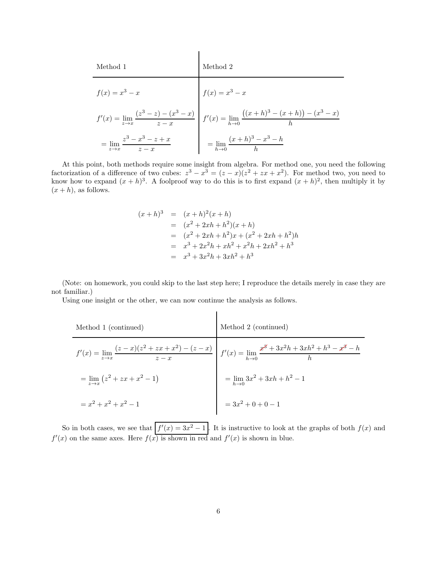| Method 1                                | Method 2                                                                                                                          |
|-----------------------------------------|-----------------------------------------------------------------------------------------------------------------------------------|
| $f(x) = x^3 - x$                        | $f(x) = x^3 - x$                                                                                                                  |
|                                         | $f'(x) = \lim_{z \to x} \frac{(z^3 - z) - (x^3 - x)}{z - x}$ $f'(x) = \lim_{h \to 0} \frac{((x + h)^3 - (x + h)) - (x^3 - x)}{h}$ |
| $=\lim_{z\to x}\frac{z^3-x^3-z+x}{z-x}$ | $=\lim_{h\to 0} \frac{(x+h)^3 - x^3 - h}{h}$                                                                                      |

At this point, both methods require some insight from algebra. For method one, you need the following factorization of a difference of two cubes:  $z^3 - x^3 = (z - x)(z^2 + zx + x^2)$ . For method two, you need to know how to expand  $(x+h)^3$ . A foolproof way to do this is to first expand  $(x+h)^2$ , then multiply it by  $(x+h)$ , as follows.

$$
(x+h)^3 = (x+h)^2(x+h)
$$
  
=  $(x^2+2xh+h^2)(x+h)$   
=  $(x^2+2xh+h^2)x + (x^2+2xh+h^2)h$   
=  $x^3+2x^2h + xh^2 + x^2h + 2xh^2 + h^3$   
=  $x^3+3x^2h + 3xh^2 + h^3$ 

(Note: on homework, you could skip to the last step here; I reproduce the details merely in case they are not familiar.)

Using one insight or the other, we can now continue the analysis as follows.

| Method 1 (continued)                  | Method 2 (continued)                                                                                                                                   |
|---------------------------------------|--------------------------------------------------------------------------------------------------------------------------------------------------------|
|                                       | $f'(x) = \lim_{z \to x} \frac{(z-x)(z^2 + zx + x^2) - (z-x)}{z-x} \left  f'(x) = \lim_{h \to 0} \frac{x^3 + 3x^2h + 3xh^2 + h^3 - x^3 - h}{h} \right $ |
| $=\lim_{x\to x} (z^2 + zx + x^2 - 1)$ | $=\lim_{h\to 0} 3x^2 + 3xh + h^2 - 1$                                                                                                                  |
| $= x^2 + x^2 + x^2 - 1$               | $=3x^2+0+0-1$                                                                                                                                          |

So in both cases, we see that  $f'(x) = 3x^2 - 1$ . It is instructive to look at the graphs of both  $f(x)$  and  $f'(x)$  on the same axes. Here  $f(x)$  is shown in red and  $f'(x)$  is shown in blue.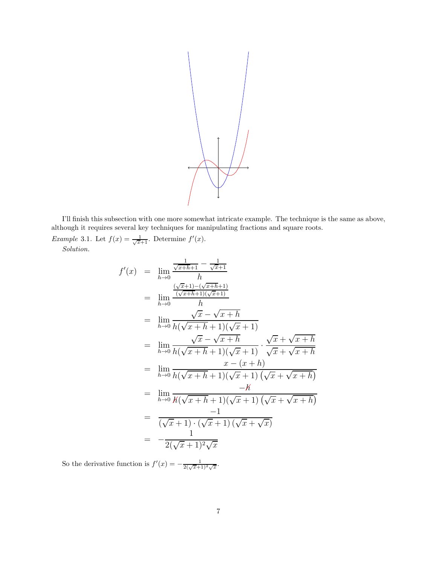

I'll finish this subsection with one more somewhat intricate example. The technique is the same as above, although it requires several key techniques for manipulating fractions and square roots.

*Example* 3.1. Let  $f(x) = \frac{1}{\sqrt{x+1}}$ . Determine  $f'(x)$ .

f ′

Solution.

$$
(x) = \lim_{h \to 0} \frac{\frac{1}{\sqrt{x+h+1}} - \frac{1}{\sqrt{x+1}}}{h}
$$
  
\n
$$
= \lim_{h \to 0} \frac{\frac{(\sqrt{x+1}) - (\sqrt{x+h+1})}{h}}{h}
$$
  
\n
$$
= \lim_{h \to 0} \frac{\sqrt{x} - \sqrt{x+h}}{h(\sqrt{x+h+1})(\sqrt{x+1})}
$$
  
\n
$$
= \lim_{h \to 0} \frac{\sqrt{x} - \sqrt{x+h}}{h(\sqrt{x+h+1})(\sqrt{x+1})} \cdot \frac{\sqrt{x} + \sqrt{x+h}}{\sqrt{x} + \sqrt{x+h}}
$$
  
\n
$$
= \lim_{h \to 0} \frac{x - (x + h)}{h(\sqrt{x+h+1})(\sqrt{x} + 1)(\sqrt{x} + \sqrt{x+h})}
$$
  
\n
$$
= \lim_{h \to 0} \frac{-h}{h(\sqrt{x+h+1})(\sqrt{x} + 1)(\sqrt{x} + \sqrt{x+h})}
$$
  
\n
$$
= \frac{-1}{(\sqrt{x} + 1) \cdot (\sqrt{x} + 1)(\sqrt{x} + \sqrt{x})}
$$
  
\n
$$
= -\frac{1}{2(\sqrt{x} + 1)^2 \sqrt{x}}
$$

So the derivative function is  $f'(x) = -\frac{1}{2(\sqrt{x+1})^2\sqrt{x}}$ .